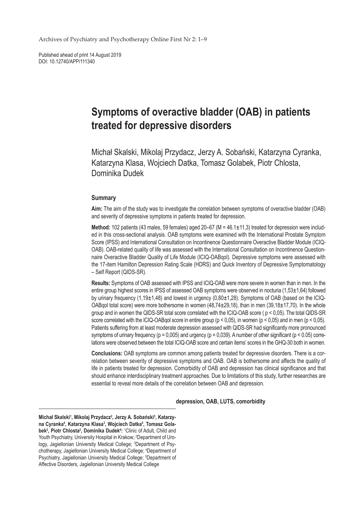Archives of Psychiatry and Psychotherapy Online First Nr 2: 1–9

Published ahead of print 14 August 2019 DOI: 10.12740/APP/111340

# **Symptoms of overactive bladder (OAB) in patients treated for depressive disorders**

Michał Skalski, Mikolaj Przydacz, Jerzy A. Sobański, Katarzyna Cyranka, Katarzyna Klasa, Wojciech Datka, Tomasz Golabek, Piotr Chlosta, Dominika Dudek

## **Summary**

**Aim:** The aim of the study was to investigate the correlation between symptoms of overactive bladder (OAB) and severity of depressive symptoms in patients treated for depression.

**Method:** 102 patients (43 males, 59 females) aged 20–67 (M = 46.1±11,3) treated for depression were included in this cross-sectional analysis. OAB symptoms were examined with the International Prostate Symptom Score (IPSS) and International Consultation on Incontinence Questionnaire Overactive Bladder Module (ICIQ-OAB). OAB-related quality of life was assessed with the International Consultation on Incontinence Questionnaire Overactive Bladder Quality of Life Module (ICIQ-OABqol). Depressive symptoms were assessed with the 17-item Hamilton Depression Rating Scale (HDRS) and Quick Inventory of Depressive Symptomatology – Self Report (QIDS-SR).

**Results:** Symptoms of OAB assessed with IPSS and ICIQ-OAB were more severe in women than in men. In the entire group highest scores in IPSS of assessed OAB symptoms were observed in nocturia (1,53±1,64) followed by urinary frequency (1,19±1,48) and lowest in urgency (0,80±1,28). Symptoms of OAB (based on the ICIQ-OABqol total score) were more bothersome in women  $(48,74\pm29,18)$ , than in men  $(39,18\pm17,70)$ . In the whole group and in women the QIDS-SR total score correlated with the ICIQ-OAB score ( p < 0,05). The total QIDS-SR score correlated with the ICIQ-OABqol score in entire group (p < 0,05), in women (p < 0,05) and in men (p < 0,05). Patients suffering from at least moderate depression assessed with QIDS-SR had significantly more pronounced symptoms of urinary frequency ( $p = 0.005$ ) and urgency ( $p = 0.039$ ). A number of other significant ( $p < 0.05$ ) correlations were observed between the total ICIQ-OAB score and certain items' scores in the GHQ-30 both in women.

**Conclusions:** OAB symptoms are common among patients treated for depressive disorders. There is a correlation between severity of depressive symptoms and OAB. OAB is bothersome and affects the quality of life in patients treated for depression. Comorbidity of OAB and depression has clinical significance and that should enhance interdisciplinary treatment approaches. Due to limitations of this study, further researches are essential to reveal more details of the correlation between OAB and depression.

**depression, OAB, LUTS, comorbidity**

**Michał Skalski<sup>1</sup> , Mikolaj Przydacz<sup>2</sup> , Jerzy A. Sobański<sup>3</sup> , Katarzyna Cyranka<sup>4</sup> , Katarzyna Klasa<sup>3</sup> , Wojciech Datka<sup>5</sup> , Tomasz Golabek<sup>2</sup> , Piotr Chlosta<sup>2</sup> , Dominika Dudek<sup>4</sup> :** 1 Clinic of Adult, Child and Youth Psychiatry, University Hospital in Krakow; <sup>2</sup>Department of Urology, Jagiellonian University Medical College; <sup>3</sup>Department of Psychotherapy, Jagiellonian University Medical College; <sup>4</sup>Department of Psychiatry, Jagiellonian University Medical College; <sup>5</sup>Department of Affective Disorders, Jagiellonian University Medical College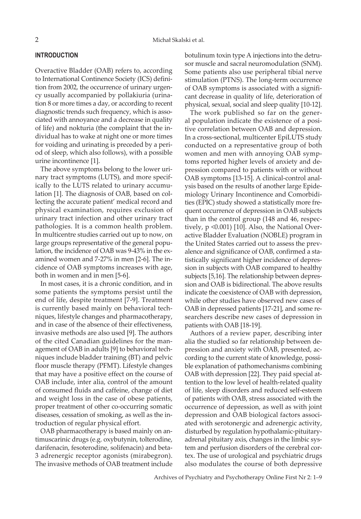#### **INTRODUCTION**

Overactive Bladder (OAB) refers to, according to International Continence Society (ICS) definition from 2002, the occurrence of urinary urgency usually accompanied by pollakiuria (urination 8 or more times a day, or according to recent diagnostic trends such frequency, which is associated with annoyance and a decrease in quality of life) and nokturia (the complaint that the individual has to wake at night one or more times for voiding and urinating is preceded by a period of sleep, which also follows), with a possible urine incontinence [1].

The above symptoms belong to the lower urinary tract symptoms (LUTS), and more specifically to the LUTS related to urinary accumulation [1]. The diagnosis of OAB, based on collecting the accurate patient' medical record and physical examination, requires exclusion of urinary tract infection and other urinary tract pathologies. It is a common health problem. In multicentre studies carried out up to now, on large groups representative of the general population, the incidence of OAB was 9-43% in the examined women and 7-27% in men [2-6]. The incidence of OAB symptoms increases with age, both in women and in men [5-6].

In most cases, it is a chronic condition, and in some patients the symptoms persist until the end of life, despite treatment [7-9]. Treatment is currently based mainly on behavioral techniques, lifestyle changes and pharmacotherapy, and in case of the absence of their effectiveness, invasive methods are also used [9]. The authors of the cited Canadian guidelines for the management of OAB in adults [9] to behavioral techniques include bladder training (BT) and pelvic floor muscle therapy (PFMT). Lifestyle changes that may have a positive effect on the course of OAB include, inter alia, control of the amount of consumed fluids and caffeine, change of diet and weight loss in the case of obese patients, proper treatment of other co-occurring somatic diseases, cessation of smoking, as well as the introduction of regular physical effort.

OAB pharmacotherapy is based mainly on antimuscarinic drugs (e.g. oxybutynin, tolterodine, darifenacin, fesoterodine, solifenacin) and beta-3 adrenergic receptor agonists (mirabegron). The invasive methods of OAB treatment include botulinum toxin type A injections into the detrusor muscle and sacral neuromodulation (SNM). Some patients also use peripheral tibial nerve stimulation (PTNS). The long-term occurrence of OAB symptoms is associated with a significant decrease in quality of life, deterioration of physical, sexual, social and sleep quality [10-12].

The work published so far on the general population indicate the existence of a positive correlation between OAB and depression. In a cross-sectional, multicenter EpiLUTS study conducted on a representative group of both women and men with annoying OAB symptoms reported higher levels of anxiety and depression compared to patients with or without OAB symptoms [13-15]. A clinical-control analysis based on the results of another large Epidemiology Urinary Incontinence and Comorbidities (EPIC) study showed a statistically more frequent occurrence of depression in OAB subjects than in the control group (148 and 46, respectively, p <0.001) [10]. Also, the National Overactive Bladder Evaluation (NOBLE) program in the United States carried out to assess the prevalence and significance of OAB, confirmed a statistically significant higher incidence of depression in subjects with OAB compared to healthy subjects [5,16]. The relationship between depression and OAB is bidirectional. The above results indicate the coexistence of OAB with depression, while other studies have observed new cases of OAB in depressed patients [17-21], and some researchers describe new cases of depression in patients with OAB [18-19].

Authors of a review paper, describing inter alia the studied so far relationship between depression and anxiety with OAB, presented, according to the current state of knowledge, possible explanation of pathomechanisms combining OAB with depression [22]. They paid special attention to the low level of health-related quality of life, sleep disorders and reduced self-esteem of patients with OAB, stress associated with the occurrence of depression, as well as with joint depression and OAB biological factors associated with serotonergic and adrenergic activity, disturbed by regulation hypothalamic-pituitaryadrenal pituitary axis, changes in the limbic system and perfusion disorders of the cerebral cortex. The use of urological and psychiatric drugs also modulates the course of both depressive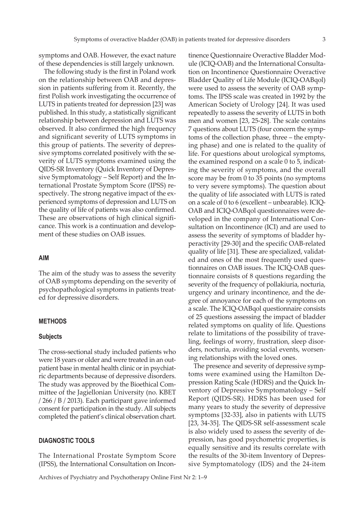symptoms and OAB. However, the exact nature of these dependencies is still largely unknown.

The following study is the first in Poland work on the relationship between OAB and depression in patients suffering from it. Recently, the first Polish work investigating the occurrence of LUTS in patients treated for depression [23] was published. In this study, a statistically significant relationship between depression and LUTS was observed. It also confirmed the high frequency and significant severity of LUTS symptoms in this group of patients. The severity of depressive symptoms correlated positively with the severity of LUTS symptoms examined using the QIDS-SR Inventory (Quick Inventory of Depressive Symptomatology – Self Report) and the International Prostate Symptom Score (IPSS) respectively. The strong negative impact of the experienced symptoms of depression and LUTS on the quality of life of patients was also confirmed. These are observations of high clinical significance. This work is a continuation and development of these studies on OAB issues.

#### **AIM**

The aim of the study was to assess the severity of OAB symptoms depending on the severity of psychopathological symptoms in patients treated for depressive disorders.

### **METHODS**

## **Subjects**

The cross-sectional study included patients who were 18 years or older and were treated in an outpatient base in mental health clinic or in psychiatric departments because of depressive disorders. The study was approved by the Bioethical Committee of the Jagiellonian University (no. KBET / 266 / B / 2013). Each participant gave informed consent for participation in the study. All subjects completed the patient's clinical observation chart.

#### **DIAGNOSTIC TOOLS**

The International Prostate Symptom Score (IPSS), the International Consultation on Incontinence Questionnaire Overactive Bladder Module (ICIQ-OAB) and the International Consultation on Incontinence Questionnaire Overactive Bladder Quality of Life Module (ICIQ-OABqol) were used to assess the severity of OAB symptoms. The IPSS scale was created in 1992 by the American Society of Urology [24]. It was used repeatedly to assess the severity of LUTS in both men and women [23, 25-28]. The scale contains 7 questions about LUTS (four concern the symptoms of the collection phase, three – the emptying phase) and one is related to the quality of life. For questions about urological symptoms, the examined respond on a scale 0 to 5, indicating the severity of symptoms, and the overall score may be from 0 to 35 points (no symptoms to very severe symptoms). The question about the quality of life associated with LUTS is rated on a scale of 0 to 6 (excellent – unbearable). ICIQ-OAB and ICIQ-OABqol questionnaires were developed in the company of International Consultation on Incontinence (ICI) and are used to assess the severity of symptoms of bladder hyperactivity [29-30] and the specific OAB-related quality of life [31]. These are specialized, validated and ones of the most frequently used questionnaires on OAB issues. The ICIQ-OAB questionnaire consists of 8 questions regarding the severity of the frequency of pollakiuria, nocturia, urgency and urinary incontinence, and the degree of annoyance for each of the symptoms on a scale. The ICIQ-OABqol questionnaire consists of 25 questions assessing the impact of bladder related symptoms on quality of life. Questions relate to limitations of the possibility of traveling, feelings of worry, frustration, sleep disorders, nocturia, avoiding social events, worsening relationships with the loved ones.

The presence and severity of depressive symptoms were examined using the Hamilton Depression Rating Scale (HDRS) and the Quick Inventory of Depressive Symptomatology – Self Report (QIDS-SR). HDRS has been used for many years to study the severity of depressive symptoms [32-33], also in patients with LUTS [23, 34-35]. The QIDS-SR self-assessment scale is also widely used to assess the severity of depression, has good psychometric properties, is equally sensitive and its results correlate with the results of the 30-item Inventory of Depressive Symptomatology (IDS) and the 24-item

Archives of Psychiatry and Psychotherapy Online First Nr 2: 1–9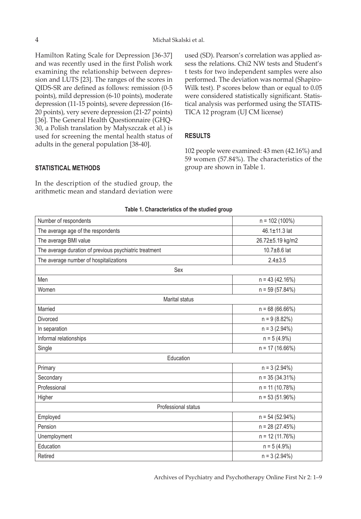Hamilton Rating Scale for Depression [36-37] and was recently used in the first Polish work examining the relationship between depression and LUTS [23]. The ranges of the scores in QIDS-SR are defined as follows: remission (0-5 points), mild depression (6-10 points), moderate depression (11-15 points), severe depression (16- 20 points), very severe depression (21-27 points) [36]. The General Health Questionnaire (GHQ-30, a Polish translation by Małyszczak et al.) is used for screening the mental health status of adults in the general population [38-40].

used (SD). Pearson's correlation was applied assess the relations. Chi2 NW tests and Student's t tests for two independent samples were also performed. The deviation was normal (Shapiro-Wilk test). P scores below than or equal to 0.05 were considered statistically significant. Statistical analysis was performed using the STATIS-TICA 12 program (UJ CM license)

## **RESULTS**

102 people were examined: 43 men (42.16%) and 59 women (57.84%). The characteristics of the group are shown in Table 1.

# **STATISTICAL METHODS**

In the description of the studied group, the arithmetic mean and standard deviation were

| Number of respondents                                  | $n = 102(100\%)$  |
|--------------------------------------------------------|-------------------|
| The average age of the respondents                     | 46.1±11.3 lat     |
| The average BMI value                                  | 26.72±5.19 kg/m2  |
| The average duration of previous psychiatric treatment | 10.7±8.6 lat      |
| The average number of hospitalizations                 | $2.4 \pm 3.5$     |
| Sex                                                    |                   |
| Men                                                    | $n = 43(42.16%)$  |
| Women                                                  | $n = 59(57.84%)$  |
| Marital status                                         |                   |
| Married                                                | $n = 68(66.66%)$  |
| <b>Divorced</b>                                        | $n = 9(8.82%)$    |
| In separation                                          | $n = 3 (2.94%)$   |
| Informal relationships                                 | $n = 5(4.9\%)$    |
| Single                                                 | $n = 17(16.66%)$  |
| Education                                              |                   |
| Primary                                                | $n = 3 (2.94%)$   |
| Secondary                                              | $n = 35(34.31\%)$ |
| Professional                                           | $n = 11 (10.78%)$ |
| Higher                                                 | $n = 53(51.96%)$  |
| Professional status                                    |                   |
| Employed                                               | $n = 54(52.94%)$  |
| Pension                                                | $n = 28(27.45%)$  |
| Unemployment                                           | $n = 12(11.76%)$  |
| Education                                              | $n = 5(4.9\%)$    |
| Retired                                                | $n = 3 (2.94%)$   |

#### **Table 1. Characteristics of the studied group**

Archives of Psychiatry and Psychotherapy Online First Nr 2: 1–9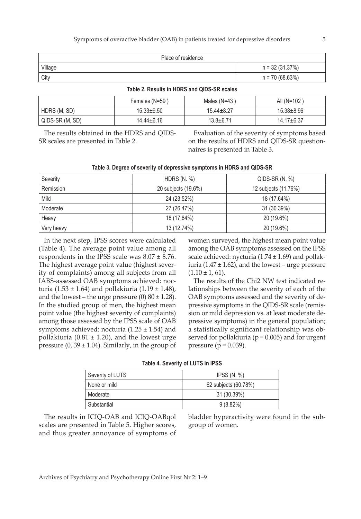| Place of residence |                  |
|--------------------|------------------|
| Village            | $n = 32(31.37%)$ |
| City               | $n = 70(68.63%)$ |

|  |  |  | Table 2. Results in HDRS and QIDS-SR scales |  |
|--|--|--|---------------------------------------------|--|
|--|--|--|---------------------------------------------|--|

|                 | Females (N=59)   | Males $(N=43)$   | All $(N=102)$  |
|-----------------|------------------|------------------|----------------|
| HDRS (M, SD)    | $15.33 + 9.50$   | $15.44 \pm 8.27$ | $15.38 + 8.96$ |
| QIDS-SR (M, SD) | $14.44 \pm 6.16$ | $13.8 + 6.71$    | $14.17 + 6.37$ |

The results obtained in the HDRS and QIDS-SR scales are presented in Table 2.

Evaluation of the severity of symptoms based on the results of HDRS and QIDS-SR questionnaires is presented in Table 3.

| Table 3. Degree of severity of depressive symptoms in HDRS and QIDS-SR |  |  |  |  |
|------------------------------------------------------------------------|--|--|--|--|
|------------------------------------------------------------------------|--|--|--|--|

| Severity   | HDRS $(N, %)$       | $QIDS-SR(N. %)$      |
|------------|---------------------|----------------------|
| Remission  | 20 subjects (19.6%) | 12 subjects (11.76%) |
| Mild       | 24 (23.52%)         | 18 (17.64%)          |
| Moderate   | 27 (26.47%)         | 31 (30.39%)          |
| Heavy      | 18 (17.64%)         | 20 (19.6%)           |
| Very heavy | 13 (12.74%)         | 20 (19.6%)           |

In the next step, IPSS scores were calculated (Table 4). The average point value among all respondents in the IPSS scale was  $8.07 \pm 8.76$ . The highest average point value (highest severity of complaints) among all subjects from all IABS-assessed OAB symptoms achieved: nocturia (1.53 ± 1.64) and pollakiuria (1.19 ± 1.48), and the lowest – the urge pressure  $(0)$  80  $\pm$  1.28). In the studied group of men, the highest mean point value (the highest severity of complaints) among those assessed by the IPSS scale of OAB symptoms achieved: nocturia  $(1.25 \pm 1.54)$  and pollakiuria (0.81  $\pm$  1.20), and the lowest urge pressure  $(0, 39 \pm 1.04)$ . Similarly, in the group of

women surveyed, the highest mean point value among the OAB symptoms assessed on the IPSS scale achieved: nycturia  $(1.74 \pm 1.69)$  and pollakiuria (1.47  $\pm$  1.62), and the lowest – urge pressure  $(1.10 \pm 1.61)$ .

The results of the Chi2 NW test indicated relationships between the severity of each of the OAB symptoms assessed and the severity of depressive symptoms in the QIDS-SR scale (remission or mild depression vs. at least moderate depressive symptoms) in the general population; a statistically significant relationship was observed for pollakiuria ( $p = 0.005$ ) and for urgent pressure ( $p = 0.039$ ).

| Table 4. Severity of LUTS in IPSS |  |
|-----------------------------------|--|
|-----------------------------------|--|

| Severity of LUTS | IPSS $(N, %)$        |  |
|------------------|----------------------|--|
| None or mild     | 62 subjects (60.78%) |  |
| Moderate         | 31 (30.39%)          |  |
| Substantial      | 9(8.82%)             |  |

The results in ICIQ-OAB and ICIQ-OABqol scales are presented in Table 5. Higher scores, and thus greater annoyance of symptoms of

bladder hyperactivity were found in the subgroup of women.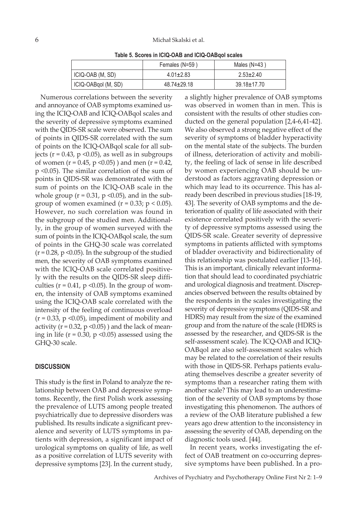**Table 5. Scores in ICIQ-OAB and ICIQ-OABqol scales**

|                     | Females (N=59)    | Males $(N=43)$    |
|---------------------|-------------------|-------------------|
| ICIQ-OAB (M, SD)    | $4.01 \pm 2.83$   | $2.53 \pm 2.40$   |
| ICIQ-OABqol (M, SD) | $48.74 \pm 29.18$ | $39.18 \pm 17.70$ |

Numerous correlations between the severity and annoyance of OAB symptoms examined using the ICIQ-OAB and ICIQ-OABqol scales and the severity of depressive symptoms examined with the QIDS-SR scale were observed. The sum of points in QIDS-SR correlated with the sum of points on the ICIQ-OABqol scale for all subjects ( $r = 0.43$ ,  $p \le 0.05$ ), as well as in subgroups of women ( $r = 0.45$ ,  $p \le 0.05$ ) and men ( $r = 0.42$ , p <0.05). The similar correlation of the sum of points in QIDS-SR was demonstrated with the sum of points on the ICIQ-OAB scale in the whole group ( $r = 0.31$ ,  $p \le 0.05$ ), and in the subgroup of women examined ( $r = 0.33$ ;  $p < 0.05$ ). However, no such correlation was found in the subgroup of the studied men. Additionally, in the group of women surveyed with the sum of points in the ICIQ-OABqol scale, the sum of points in the GHQ-30 scale was correlated  $(r = 0.28, p \le 0.05)$ . In the subgroup of the studied men, the severity of OAB symptoms examined with the ICIQ-OAB scale correlated positively with the results on the QIDS-SR sleep difficulties ( $r = 0.41$ ,  $p \le 0.05$ ). In the group of women, the intensity of OAB symptoms examined using the ICIQ-OAB scale correlated with the intensity of the feeling of continuous overload  $(r = 0.33, p \le 0.05)$ , impediment of mobility and activity ( $r = 0.32$ ,  $p \le 0.05$ ) and the lack of meaning in life ( $r = 0.30$ ,  $p \le 0.05$ ) assessed using the GHQ-30 scale.

#### **DISCUSSION**

This study is the first in Poland to analyze the relationship between OAB and depressive symptoms. Recently, the first Polish work assessing the prevalence of LUTS among people treated psychiatrically due to depressive disorders was published. Its results indicate a significant prevalence and severity of LUTS symptoms in patients with depression, a significant impact of urological symptoms on quality of life, as well as a positive correlation of LUTS severity with depressive symptoms [23]. In the current study,

a slightly higher prevalence of OAB symptoms was observed in women than in men. This is consistent with the results of other studies conducted on the general population [2,4-6,41-42]. We also observed a strong negative effect of the severity of symptoms of bladder hyperactivity on the mental state of the subjects. The burden of illness, deterioration of activity and mobility, the feeling of lack of sense in life described by women experiencing OAB should be understood as factors aggravating depression or which may lead to its occurrence. This has already been described in previous studies [18-19, 43]. The severity of OAB symptoms and the deterioration of quality of life associated with their existence correlated positively with the severity of depressive symptoms assessed using the QIDS-SR scale. Greater severity of depressive symptoms in patients afflicted with symptoms of bladder overactivity and bidirectionality of this relationship was postulated earlier [13-16]. This is an important, clinically relevant information that should lead to coordinated psychiatric and urological diagnosis and treatment. Discrepancies observed between the results obtained by the respondents in the scales investigating the severity of depressive symptoms (QIDS-SR and HDRS) may result from the size of the examined group and from the nature of the scale (HDRS is assessed by the researcher, and QIDS-SR is the self-assessment scale). The ICQ-OAB and ICIQ-OABqol are also self-assessment scales which may be related to the correlation of their results with those in QIDS-SR. Perhaps patients evaluating themselves describe a greater severity of symptoms than a researcher rating them with another scale? This may lead to an underestimation of the severity of OAB symptoms by those investigating this phenomenon. The authors of a review of the OAB literature published a few years ago drew attention to the inconsistency in assessing the severity of OAB, depending on the diagnostic tools used. [44].

In recent years, works investigating the effect of OAB treatment on co-occurring depressive symptoms have been published. In a pro-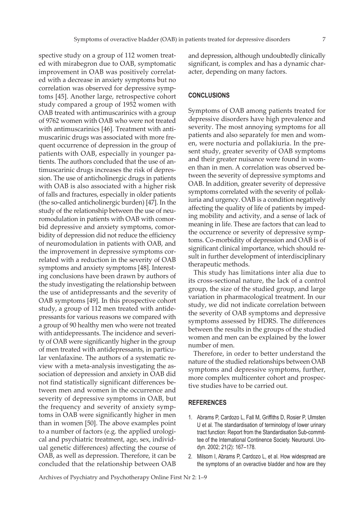and depression, although undoubtedly clinically significant, is complex and has a dynamic char-

ed with mirabegron due to OAB, symptomatic improvement in OAB was positively correlated with a decrease in anxiety symptoms but no correlation was observed for depressive symptoms [45]. Another large, retrospective cohort study compared a group of 1952 women with OAB treated with antimuscarinics with a group of 9762 women with OAB who were not treated with antimuscarinics [46]. Treatment with antimuscarinic drugs was associated with more frequent occurrence of depression in the group of patients with OAB, especially in younger patients. The authors concluded that the use of antimuscarinic drugs increases the risk of depression. The use of anticholinergic drugs in patients with OAB is also associated with a higher risk of falls and fractures, especially in older patients (the so-called anticholinergic burden) [47]. In the study of the relationship between the use of neuromodulation in patients with OAB with comorbid depressive and anxiety symptoms, comorbidity of depression did not reduce the efficiency of neuromodulation in patients with OAB, and the improvement in depressive symptoms correlated with a reduction in the severity of OAB symptoms and anxiety symptoms [48]. Interesting conclusions have been drawn by authors of the study investigating the relationship between the use of antidepressants and the severity of OAB symptoms [49]. In this prospective cohort study, a group of 112 men treated with antidepressants for various reasons we compared with a group of 90 healthy men who were not treated with antidepressants. The incidence and severity of OAB were significantly higher in the group of men treated with antidepressants, in particular venlafaxine. The authors of a systematic review with a meta-analysis investigating the association of depression and anxiety in OAB did not find statistically significant differences between men and women in the occurrence and severity of depressive symptoms in OAB, but the frequency and severity of anxiety symptoms in OAB were significantly higher in men than in women [50]. The above examples point to a number of factors (e.g. the applied urological and psychiatric treatment, age, sex, individual genetic differences) affecting the course of OAB, as well as depression. Therefore, it can be concluded that the relationship between OAB

spective study on a group of 112 women treat-

**CONCLUSIONS**

acter, depending on many factors.

Symptoms of OAB among patients treated for depressive disorders have high prevalence and severity. The most annoying symptoms for all patients and also separately for men and women, were nocturia and pollakiuria. In the present study, greater severity of OAB symptoms and their greater nuisance were found in women than in men. A correlation was observed between the severity of depressive symptoms and OAB. In addition, greater severity of depressive symptoms correlated with the severity of pollakiuria and urgency. OAB is a condition negatively affecting the quality of life of patients by impeding mobility and activity, and a sense of lack of meaning in life. These are factors that can lead to the occurrence or severity of depressive symptoms. Co-morbidity of depression and OAB is of significant clinical importance, which should result in further development of interdisciplinary therapeutic methods.

This study has limitations inter alia due to its cross-sectional nature, the lack of a control group, the size of the studied group, and large variation in pharmacological treatment. In our study, we did not indicate correlation between the severity of OAB symptoms and depressive symptoms assessed by HDRS. The differences between the results in the groups of the studied women and men can be explained by the lower number of men.

Therefore, in order to better understand the nature of the studied relationships between OAB symptoms and depressive symptoms, further, more complex multicenter cohort and prospective studies have to be carried out.

#### **REFERENCES**

- 1. Abrams P, Cardozo L, Fall M, Griffiths D, Rosier P, Ulmsten U et al. The standardisation of terminology of lower urinary tract function: Report from the Standardisation Sub-committee of the International Continence Society. Neurourol. Urodyn. 2002; 21(2): 167–178.
- 2. Milsom I, Abrams P, Cardozo L, et al. How widespread are the symptoms of an overactive bladder and how are they

Archives of Psychiatry and Psychotherapy Online First Nr 2: 1–9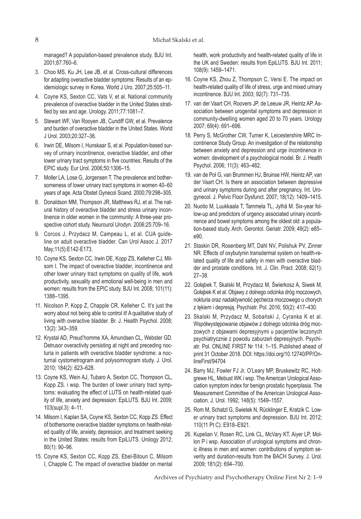managed? A population-based prevalence study. BJU Int. 2001;87:760–6.

- 3. Choo MS, Ku JH, Lee JB, et al. Cross-cultural differences for adapting overactive bladder symptoms: Results of an epidemiologic survey in Korea. World J Uro. 2007;25:505–11.
- 4. Coyne KS, Sexton CC, Vats V, et al. National community prevalence of overactive bladder in the United States stratified by sex and age. Urology. 2011;77:1081–7.
- 5. Stewart WF, Van Rooyen JB, Cundiff GW, et al. Prevalence and burden of overactive bladder in the United States. World J Urol. 2003;20:327–36.
- 6. Irwin DE, Milsom I, Hunskaar S, et al. Population-based survey of urinary incontinence, overactive bladder, and other lower urinary tract symptoms in five countries: Results of the EPIC study. Eur Urol. 2006;50:1306–15.
- 7. Moller LA, Lose G, Jorgensen T. The prevalence and bothersomeness of lower urinary tract symptoms in women 40–60 years of age. Acta Obstet Gynecol Scand. 2000;79:298–305.
- 8. Donaldson MM, Thompson JR, Matthews RJ, et al. The natural history of overactive bladder and stress urinary incontinence in older women in the community: A three-year prospective cohort study. Neurourol Urodyn. 2006;25:709–16.
- 9. Corcos J, Przydacz M, Campeau L, et al. CUA guideline on adult overactive bladder. Can Urol Assoc J. 2017 May;11(5):E142-E173.
- 10. Coyne KS, Sexton CC, Irwin DE, Kopp ZS, Kelleher CJ, Milsom I. The impact of overactive bladder, incontinence and other lower urinary tract symptoms on quality of life, work productivity, sexuality and emotional well-being in men and women: results from the EPIC study. BJU Int. 2008; 101(11): 1388–1395.
- 11. Nicolson P, Kopp Z, Chapple CR, Kelleher C. It's just the worry about not being able to control it! A qualitative study of living with overactive bladder. Br. J. Health Psychol. 2008; 13(2): 343–359.
- 12. Krystal AD, Preud'homme XA, Amundsen CL, Webster GD. Detrusor overactivity persisting at night and preceding nocturia in patients with overactive bladder syndrome: a nocturnal cystometrogram and polysomnogram study. J. Urol. 2010; 184(2): 623–628.
- 13. Coyne KS, Wein AJ, Tubaro A, Sexton CC, Thompson CL, Kopp ZS. i wsp. The burden of lower urinary tract symptoms: evaluating the effect of LUTS on health-related quality of life, anxiety and depression: EpiLUTS. BJU Int. 2009; 103(supl.3): 4–11.
- 14. Milsom I, Kaplan SA, Coyne KS, Sexton CC, Kopp ZS. Effect of bothersome overactive bladder symptoms on health-related quality of life, anxiety, depression, and treatment seeking in the United States: results from EpiLUTS. Urology 2012; 80(1): 90–96.
- 15. Coyne KS, Sexton CC, Kopp ZS, Ebel-Bitoun C, Milsom I, Chapple C. The impact of overactive bladder on mental

health, work productivity and health-related quality of life in the UK and Sweden: results from EpiLUTS. BJU Int. 2011; 108(9): 1459–1471.

- 16. Coyne KS, Zhou Z, Thompson C, Versi E. The impact on health-related quality of life of stress, urge and mixed urinary incontinence. BJU Int. 2003; 92(7): 731–735.
- 17. van der Vaart CH, Roovers JP, de Leeuw JR, Heintz AP. Association between urogenital symptoms and depression in community-dwelling women aged 20 to 70 years. Urology 2007; 69(4): 691–696.
- 18. Perry S, McGrother CW, Turner K, Leicestershire MRC Incontinence Study Group. An investigation of the relationship between anxiety and depression and urge incontinence in women: development of a psychological model. Br. J. Health Psychol. 2006; 11(3): 463–482.
- 19. van de Pol G, van Brummen HJ, Bruinse HW, Heintz AP, van der Vaart CH. Is there an association between depressive and urinary symptoms during and after pregnancy. Int. Urogynecol. J. Pelvic Floor Dysfunct. 2007; 18(12): 1409–1415.
- 20. Nuotio M, Luukkaala T, Tammela TL, Jylhä M. Six-year follow-up and predictors of urgency associated urinary incontinence and bowel symptoms among the oldest old: a population-based study. Arch. Gerontol. Geriatr. 2009; 49(2): e85– e90.
- 21. Staskin DR, Rosenberg MT, Dahl NV, Polishuk PV, Zinner NR. Effects of oxybutynin transdermal system on health-related quality of life and safety in men with overactive bladder and prostate conditions. Int. J. Clin. Pract. 2008; 62(1): 27–38.
- 22. Gołąbek T, Skalski M, Przydacz M, Świerkosz A, Siwek M, Gołąbek K et al. Objawy z dolnego odcinka dróg moczowych, nokturia oraz nadaktywność pęcherza moczowego u chorych z lękiem i depresją. Psychiatr. Pol. 2016; 50(2): 417–430.
- 23. Skalski M, Przydacz M, Sobański J, Cyranka K et al. Współwystępowanie objawów z dolnego odcinka dróg moczowych z objawami depresyjnymi u pacjentów leczonych psychiatrycznie z powodu zaburzeń depresyjnych. Psychiatr. Pol. ONLINE FIRST Nr 114: 1–15. Published ahead of print 31 October 2018. DOI: https://doi.org/10.12740/PP/OnlineFirst/94704
- 24. Barry MJ, Fowler FJ Jr, O'Leary MP, Bruskewitz RC, Holtgrewe HL, Mebust WK i wsp. The American Urological Association symptom index for benign prostatic hyperplasia. The Measurement Committee of the American Urological Association. J. Urol. 1992; 148(5): 1549–1557.
- 25. Rom M, Schatzl G, Swietek N, Rücklinger E, Kratzik C. Lower urinary tract symptoms and depression. BJU Int. 2012; 110(11 Pt C): E918–E921.
- 26. Kupelian V, Rosen RC, Link CL, McVary KT, Aiyer LP, Mollon P i wsp. Association of urological symptoms and chronic illness in men and women: contributions of symptom severity and duration-results from the BACH Survey. J. Urol. 2009; 181(2): 694–700.